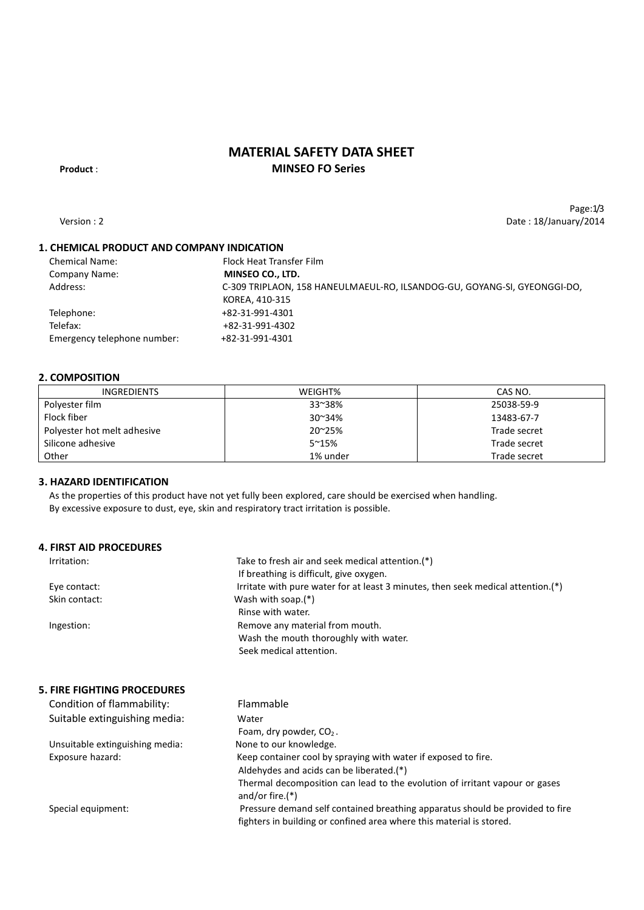# **MATERIAL SAFETY DATA SHEET Product** : **MINSEO FO Series**

Page:1/3

Version : 2 Date : 18/January/2014

# **1. CHEMICAL PRODUCT AND COMPANY INDICATION**

| <b>Chemical Name:</b>       | Flock Heat Transfer Film                                                 |
|-----------------------------|--------------------------------------------------------------------------|
| Company Name:               | MINSEO CO., LTD.                                                         |
| Address:                    | C-309 TRIPLAON, 158 HANEULMAEUL-RO, ILSANDOG-GU, GOYANG-SI, GYEONGGI-DO, |
|                             | KOREA, 410-315                                                           |
| Telephone:                  | +82-31-991-4301                                                          |
| Telefax:                    | +82-31-991-4302                                                          |
| Emergency telephone number: | +82-31-991-4301                                                          |
|                             |                                                                          |

### **2. COMPOSITION**

| <b>INGREDIENTS</b>          | WEIGHT%       | CAS NO.      |
|-----------------------------|---------------|--------------|
| Polyester film              | 33~38%        | 25038-59-9   |
| Flock fiber                 | 30~34%        | 13483-67-7   |
| Polyester hot melt adhesive | 20~25%        | Trade secret |
| Silicone adhesive           | $5^{\sim}15%$ | Trade secret |
| Other                       | 1% under      | Trade secret |

### **3. HAZARD IDENTIFICATION**

As the properties of this product have not yet fully been explored, care should be exercised when handling. By excessive exposure to dust, eye, skin and respiratory tract irritation is possible.

### **4. FIRST AID PROCEDURES**

| Irritation:   | Take to fresh air and seek medical attention.(*)                                 |
|---------------|----------------------------------------------------------------------------------|
|               | If breathing is difficult, give oxygen.                                          |
| Eye contact:  | Irritate with pure water for at least 3 minutes, then seek medical attention.(*) |
| Skin contact: | Wash with soap. $(*)$                                                            |
|               | Rinse with water.                                                                |
| Ingestion:    | Remove any material from mouth.                                                  |
|               | Wash the mouth thoroughly with water.                                            |
|               | Seek medical attention.                                                          |

### **5. FIRE FIGHTING PROCEDURES**

| Condition of flammability:      | Flammable                                                                                         |
|---------------------------------|---------------------------------------------------------------------------------------------------|
| Suitable extinguishing media:   | Water                                                                                             |
|                                 | Foam, dry powder, $CO2$ .                                                                         |
| Unsuitable extinguishing media: | None to our knowledge.                                                                            |
| Exposure hazard:                | Keep container cool by spraying with water if exposed to fire.                                    |
|                                 | Aldehydes and acids can be liberated.(*)                                                          |
|                                 | Thermal decomposition can lead to the evolution of irritant vapour or gases<br>and/or fire. $(*)$ |
| Special equipment:              | Pressure demand self contained breathing apparatus should be provided to fire                     |
|                                 | fighters in building or confined area where this material is stored.                              |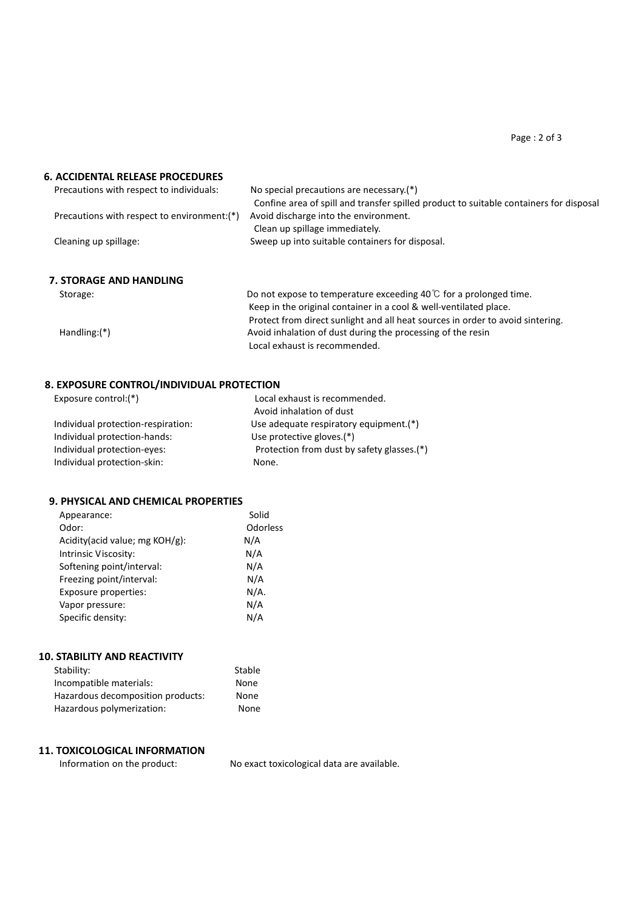Page : 2 of 3

### **6. ACCIDENTAL RELEASE PROCEDURES**

| Precautions with respect to individuals:    | No special precautions are necessary.(*)                                               |
|---------------------------------------------|----------------------------------------------------------------------------------------|
|                                             | Confine area of spill and transfer spilled product to suitable containers for disposal |
| Precautions with respect to environment:(*) | Avoid discharge into the environment.                                                  |
|                                             | Clean up spillage immediately.                                                         |
| Cleaning up spillage:                       | Sweep up into suitable containers for disposal.                                        |
| <b>7. STORAGE AND HANDLING</b>              |                                                                                        |
| Storage:                                    | Do not expose to temperature exceeding 40 $\degree$ for a prolonged time.              |
|                                             | Keep in the original container in a cool & well-ventilated place.                      |
|                                             | Protect from direct sunlight and all heat sources in order to avoid sintering.         |
| $Handling:(*)$                              | Avoid inhalation of dust during the processing of the resin                            |

Local exhaust is recommended.

### **8. EXPOSURE CONTROL/INDIVIDUAL PROTECTION**

| Exposure control: $(*)$            | Local exhaust is recommended.              |
|------------------------------------|--------------------------------------------|
|                                    | Avoid inhalation of dust                   |
| Individual protection-respiration: | Use adequate respiratory equipment.(*)     |
| Individual protection-hands:       | Use protective gloves.(*)                  |
| Individual protection-eyes:        | Protection from dust by safety glasses.(*) |
| Individual protection-skin:        | None.                                      |

Stable

### **9. PHYSICAL AND CHEMICAL PROPERTIES**

| Appearance:                    | Solid    |
|--------------------------------|----------|
| Odor:                          | Odorless |
| Acidity(acid value; mg KOH/g): | N/A      |
| Intrinsic Viscosity:           | N/A      |
| Softening point/interval:      | N/A      |
| Freezing point/interval:       | N/A      |
| Exposure properties:           | N/A.     |
| Vapor pressure:                | N/A      |
| Specific density:              | N/A      |
|                                |          |

| <b>10. STABILITY AND REACTIVITY</b> |  |
|-------------------------------------|--|
| Stability:                          |  |
|                                     |  |

| Incompatible materials:           | None |
|-----------------------------------|------|
| Hazardous decomposition products: | None |
| Hazardous polymerization:         | None |

# **11. TOXICOLOGICAL INFORMATION**

Information on the product: No exact toxicological data are available.